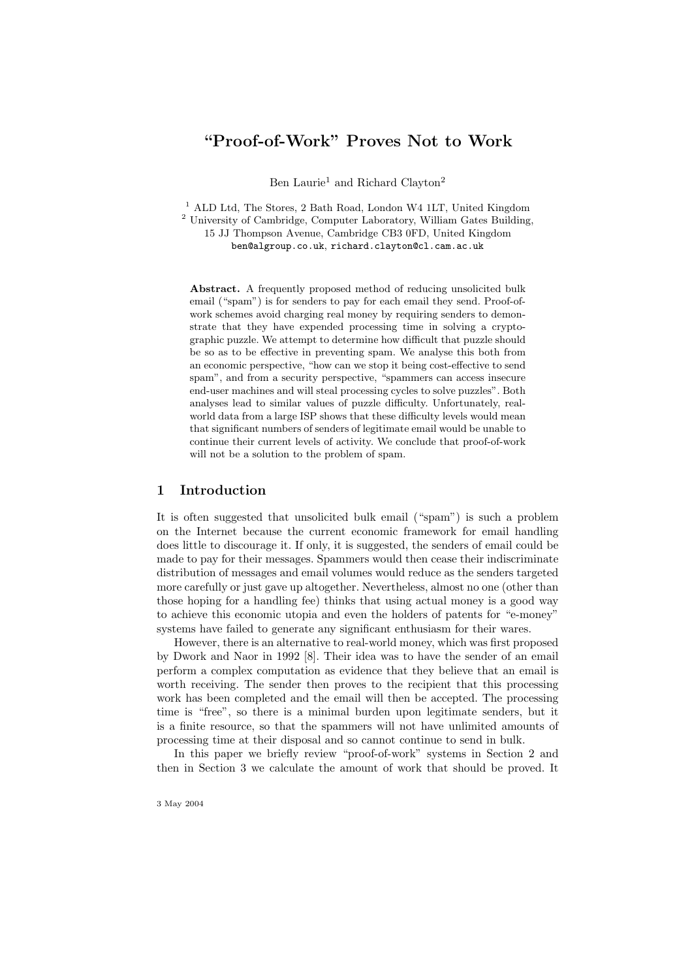# "Proof-of-Work" Proves Not to Work

Ben Laurie<sup>1</sup> and Richard Clayton<sup>2</sup>

<sup>1</sup> ALD Ltd, The Stores, 2 Bath Road, London W4 1LT, United Kingdom <sup>2</sup> University of Cambridge, Computer Laboratory, William Gates Building, 15 JJ Thompson Avenue, Cambridge CB3 0FD, United Kingdom ben@algroup.co.uk, richard.clayton@cl.cam.ac.uk

Abstract. A frequently proposed method of reducing unsolicited bulk email ("spam") is for senders to pay for each email they send. Proof-ofwork schemes avoid charging real money by requiring senders to demonstrate that they have expended processing time in solving a cryptographic puzzle. We attempt to determine how difficult that puzzle should be so as to be effective in preventing spam. We analyse this both from an economic perspective, "how can we stop it being cost-effective to send spam", and from a security perspective, "spammers can access insecure end-user machines and will steal processing cycles to solve puzzles". Both analyses lead to similar values of puzzle difficulty. Unfortunately, realworld data from a large ISP shows that these difficulty levels would mean that significant numbers of senders of legitimate email would be unable to continue their current levels of activity. We conclude that proof-of-work will not be a solution to the problem of spam.

## 1 Introduction

It is often suggested that unsolicited bulk email ("spam") is such a problem on the Internet because the current economic framework for email handling does little to discourage it. If only, it is suggested, the senders of email could be made to pay for their messages. Spammers would then cease their indiscriminate distribution of messages and email volumes would reduce as the senders targeted more carefully or just gave up altogether. Nevertheless, almost no one (other than those hoping for a handling fee) thinks that using actual money is a good way to achieve this economic utopia and even the holders of patents for "e-money" systems have failed to generate any significant enthusiasm for their wares.

However, there is an alternative to real-world money, which was first proposed by Dwork and Naor in 1992 [8]. Their idea was to have the sender of an email perform a complex computation as evidence that they believe that an email is worth receiving. The sender then proves to the recipient that this processing work has been completed and the email will then be accepted. The processing time is "free", so there is a minimal burden upon legitimate senders, but it is a finite resource, so that the spammers will not have unlimited amounts of processing time at their disposal and so cannot continue to send in bulk.

In this paper we briefly review "proof-of-work" systems in Section 2 and then in Section 3 we calculate the amount of work that should be proved. It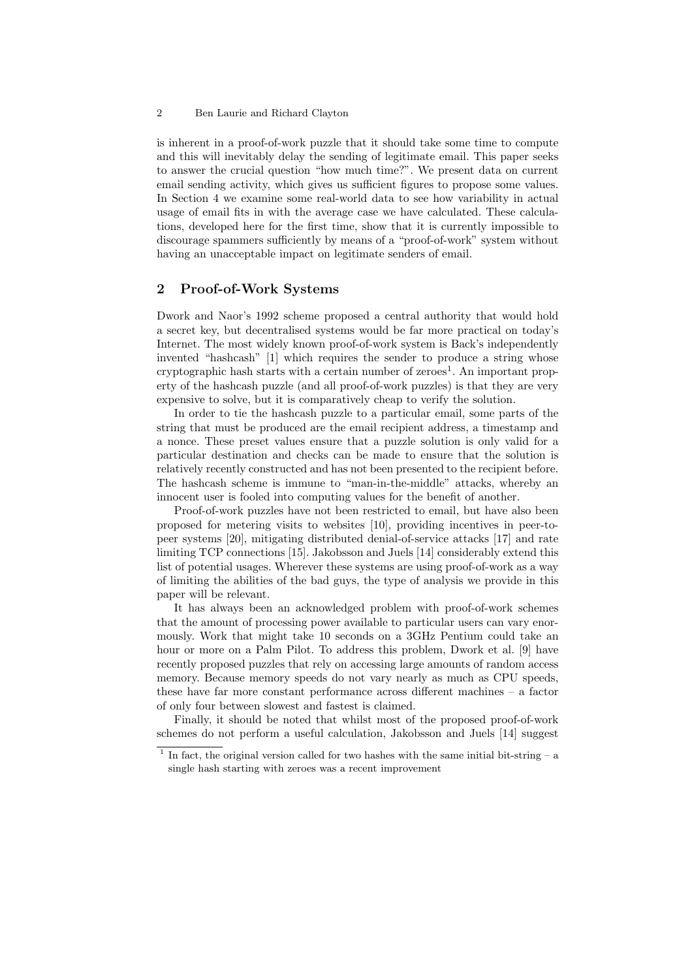is inherent in a proof-of-work puzzle that it should take some time to compute and this will inevitably delay the sending of legitimate email. This paper seeks to answer the crucial question "how much time?". We present data on current email sending activity, which gives us sufficient figures to propose some values. In Section 4 we examine some real-world data to see how variability in actual usage of email fits in with the average case we have calculated. These calculations, developed here for the first time, show that it is currently impossible to discourage spammers sufficiently by means of a "proof-of-work" system without having an unacceptable impact on legitimate senders of email.

### 2 Proof-of-Work Systems

Dwork and Naor's 1992 scheme proposed a central authority that would hold a secret key, but decentralised systems would be far more practical on today's Internet. The most widely known proof-of-work system is Back's independently invented "hashcash" [1] which requires the sender to produce a string whose cryptographic hash starts with a certain number of zeroes<sup>1</sup>. An important property of the hashcash puzzle (and all proof-of-work puzzles) is that they are very expensive to solve, but it is comparatively cheap to verify the solution.

In order to tie the hashcash puzzle to a particular email, some parts of the string that must be produced are the email recipient address, a timestamp and a nonce. These preset values ensure that a puzzle solution is only valid for a particular destination and checks can be made to ensure that the solution is relatively recently constructed and has not been presented to the recipient before. The hashcash scheme is immune to "man-in-the-middle" attacks, whereby an innocent user is fooled into computing values for the benefit of another.

Proof-of-work puzzles have not been restricted to email, but have also been proposed for metering visits to websites [10], providing incentives in peer-topeer systems [20], mitigating distributed denial-of-service attacks [17] and rate limiting TCP connections [15]. Jakobsson and Juels [14] considerably extend this list of potential usages. Wherever these systems are using proof-of-work as a way of limiting the abilities of the bad guys, the type of analysis we provide in this paper will be relevant.

It has always been an acknowledged problem with proof-of-work schemes that the amount of processing power available to particular users can vary enormously. Work that might take 10 seconds on a 3GHz Pentium could take an hour or more on a Palm Pilot. To address this problem, Dwork et al. [9] have recently proposed puzzles that rely on accessing large amounts of random access memory. Because memory speeds do not vary nearly as much as CPU speeds, these have far more constant performance across different machines – a factor of only four between slowest and fastest is claimed.

Finally, it should be noted that whilst most of the proposed proof-of-work schemes do not perform a useful calculation, Jakobsson and Juels [14] suggest

<sup>&</sup>lt;sup>1</sup> In fact, the original version called for two hashes with the same initial bit-string  $-$  a single hash starting with zeroes was a recent improvement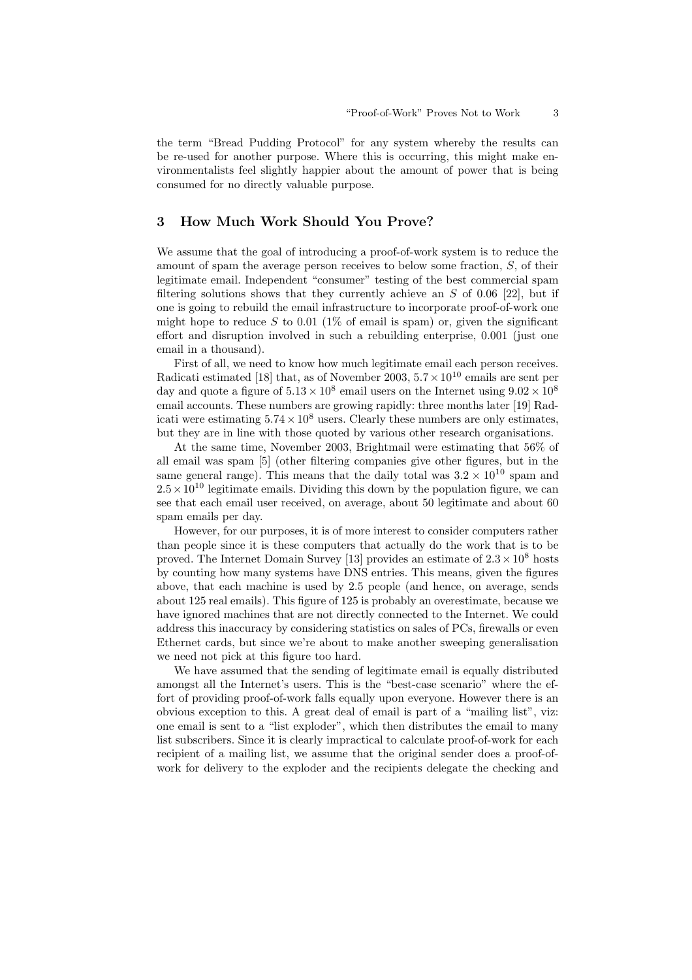the term "Bread Pudding Protocol" for any system whereby the results can be re-used for another purpose. Where this is occurring, this might make environmentalists feel slightly happier about the amount of power that is being consumed for no directly valuable purpose.

# 3 How Much Work Should You Prove?

We assume that the goal of introducing a proof-of-work system is to reduce the amount of spam the average person receives to below some fraction, S, of their legitimate email. Independent "consumer" testing of the best commercial spam filtering solutions shows that they currently achieve an  $S$  of 0.06 [22], but if one is going to rebuild the email infrastructure to incorporate proof-of-work one might hope to reduce S to 0.01 ( $1\%$  of email is spam) or, given the significant effort and disruption involved in such a rebuilding enterprise, 0.001 (just one email in a thousand).

First of all, we need to know how much legitimate email each person receives. Radicati estimated [18] that, as of November 2003,  $5.7 \times 10^{10}$  emails are sent per day and quote a figure of  $5.13 \times 10^8$  email users on the Internet using  $9.02 \times 10^8$ email accounts. These numbers are growing rapidly: three months later [19] Radicati were estimating  $5.74 \times 10^8$  users. Clearly these numbers are only estimates, but they are in line with those quoted by various other research organisations.

At the same time, November 2003, Brightmail were estimating that 56% of all email was spam [5] (other filtering companies give other figures, but in the same general range). This means that the daily total was  $3.2 \times 10^{10}$  spam and  $2.5 \times 10^{10}$  legitimate emails. Dividing this down by the population figure, we can see that each email user received, on average, about 50 legitimate and about 60 spam emails per day.

However, for our purposes, it is of more interest to consider computers rather than people since it is these computers that actually do the work that is to be proved. The Internet Domain Survey [13] provides an estimate of  $2.3 \times 10^8$  hosts by counting how many systems have DNS entries. This means, given the figures above, that each machine is used by 2.5 people (and hence, on average, sends about 125 real emails). This figure of 125 is probably an overestimate, because we have ignored machines that are not directly connected to the Internet. We could address this inaccuracy by considering statistics on sales of PCs, firewalls or even Ethernet cards, but since we're about to make another sweeping generalisation we need not pick at this figure too hard.

We have assumed that the sending of legitimate email is equally distributed amongst all the Internet's users. This is the "best-case scenario" where the effort of providing proof-of-work falls equally upon everyone. However there is an obvious exception to this. A great deal of email is part of a "mailing list", viz: one email is sent to a "list exploder", which then distributes the email to many list subscribers. Since it is clearly impractical to calculate proof-of-work for each recipient of a mailing list, we assume that the original sender does a proof-ofwork for delivery to the exploder and the recipients delegate the checking and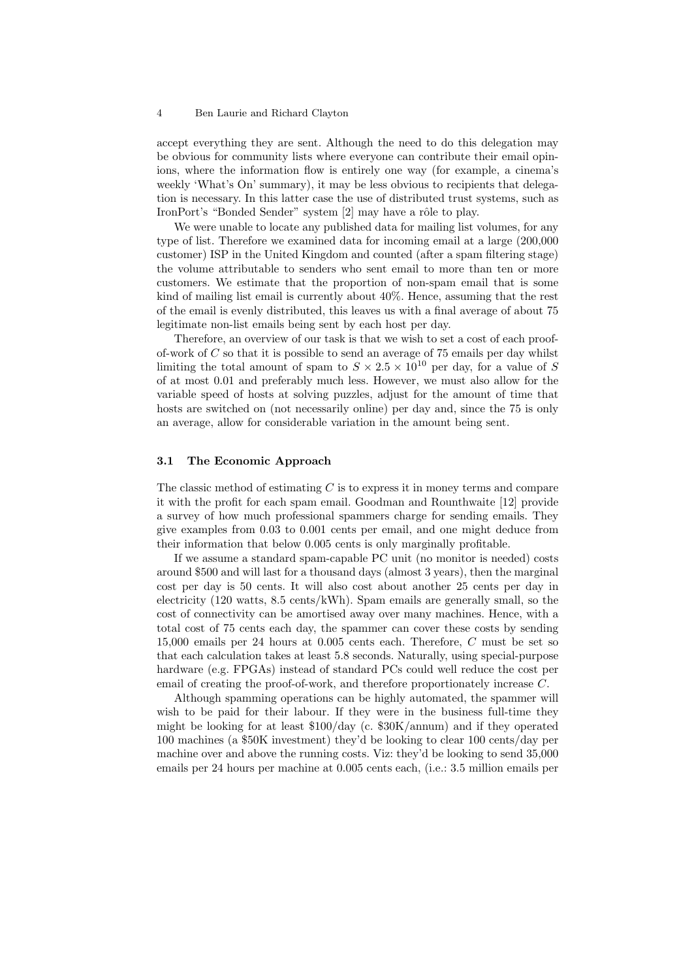accept everything they are sent. Although the need to do this delegation may be obvious for community lists where everyone can contribute their email opinions, where the information flow is entirely one way (for example, a cinema's weekly 'What's On' summary), it may be less obvious to recipients that delegation is necessary. In this latter case the use of distributed trust systems, such as IronPort's "Bonded Sender" system [2] may have a rôle to play.

We were unable to locate any published data for mailing list volumes, for any type of list. Therefore we examined data for incoming email at a large (200,000 customer) ISP in the United Kingdom and counted (after a spam filtering stage) the volume attributable to senders who sent email to more than ten or more customers. We estimate that the proportion of non-spam email that is some kind of mailing list email is currently about 40%. Hence, assuming that the rest of the email is evenly distributed, this leaves us with a final average of about 75 legitimate non-list emails being sent by each host per day.

Therefore, an overview of our task is that we wish to set a cost of each proofof-work of  $C$  so that it is possible to send an average of 75 emails per day whilst limiting the total amount of spam to  $S \times 2.5 \times 10^{10}$  per day, for a value of S of at most 0.01 and preferably much less. However, we must also allow for the variable speed of hosts at solving puzzles, adjust for the amount of time that hosts are switched on (not necessarily online) per day and, since the 75 is only an average, allow for considerable variation in the amount being sent.

#### 3.1 The Economic Approach

The classic method of estimating  $C$  is to express it in money terms and compare it with the profit for each spam email. Goodman and Rounthwaite [12] provide a survey of how much professional spammers charge for sending emails. They give examples from 0.03 to 0.001 cents per email, and one might deduce from their information that below 0.005 cents is only marginally profitable.

If we assume a standard spam-capable PC unit (no monitor is needed) costs around \$500 and will last for a thousand days (almost 3 years), then the marginal cost per day is 50 cents. It will also cost about another 25 cents per day in electricity (120 watts, 8.5 cents/kWh). Spam emails are generally small, so the cost of connectivity can be amortised away over many machines. Hence, with a total cost of 75 cents each day, the spammer can cover these costs by sending  $15,000$  emails per 24 hours at  $0.005$  cents each. Therefore, C must be set so that each calculation takes at least 5.8 seconds. Naturally, using special-purpose hardware (e.g. FPGAs) instead of standard PCs could well reduce the cost per email of creating the proof-of-work, and therefore proportionately increase C.

Although spamming operations can be highly automated, the spammer will wish to be paid for their labour. If they were in the business full-time they might be looking for at least \$100/day (c. \$30K/annum) and if they operated 100 machines (a \$50K investment) they'd be looking to clear 100 cents/day per machine over and above the running costs. Viz: they'd be looking to send 35,000 emails per 24 hours per machine at 0.005 cents each, (i.e.: 3.5 million emails per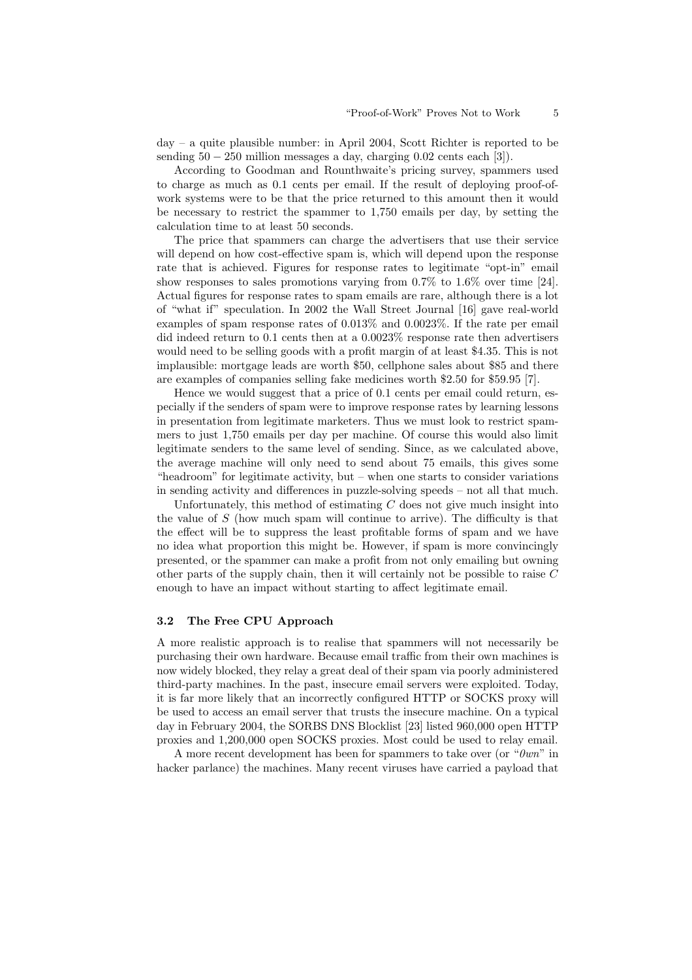day – a quite plausible number: in April 2004, Scott Richter is reported to be sending  $50 - 250$  million messages a day, charging  $0.02$  cents each [3]).

According to Goodman and Rounthwaite's pricing survey, spammers used to charge as much as 0.1 cents per email. If the result of deploying proof-ofwork systems were to be that the price returned to this amount then it would be necessary to restrict the spammer to 1,750 emails per day, by setting the calculation time to at least 50 seconds.

The price that spammers can charge the advertisers that use their service will depend on how cost-effective spam is, which will depend upon the response rate that is achieved. Figures for response rates to legitimate "opt-in" email show responses to sales promotions varying from 0.7% to 1.6% over time [24]. Actual figures for response rates to spam emails are rare, although there is a lot of "what if" speculation. In 2002 the Wall Street Journal [16] gave real-world examples of spam response rates of 0.013% and 0.0023%. If the rate per email did indeed return to 0.1 cents then at a 0.0023% response rate then advertisers would need to be selling goods with a profit margin of at least \$4.35. This is not implausible: mortgage leads are worth \$50, cellphone sales about \$85 and there are examples of companies selling fake medicines worth \$2.50 for \$59.95 [7].

Hence we would suggest that a price of 0.1 cents per email could return, especially if the senders of spam were to improve response rates by learning lessons in presentation from legitimate marketers. Thus we must look to restrict spammers to just 1,750 emails per day per machine. Of course this would also limit legitimate senders to the same level of sending. Since, as we calculated above, the average machine will only need to send about 75 emails, this gives some "headroom" for legitimate activity, but – when one starts to consider variations in sending activity and differences in puzzle-solving speeds – not all that much.

Unfortunately, this method of estimating  $C$  does not give much insight into the value of  $S$  (how much spam will continue to arrive). The difficulty is that the effect will be to suppress the least profitable forms of spam and we have no idea what proportion this might be. However, if spam is more convincingly presented, or the spammer can make a profit from not only emailing but owning other parts of the supply chain, then it will certainly not be possible to raise  $C$ enough to have an impact without starting to affect legitimate email.

#### 3.2 The Free CPU Approach

A more realistic approach is to realise that spammers will not necessarily be purchasing their own hardware. Because email traffic from their own machines is now widely blocked, they relay a great deal of their spam via poorly administered third-party machines. In the past, insecure email servers were exploited. Today, it is far more likely that an incorrectly configured HTTP or SOCKS proxy will be used to access an email server that trusts the insecure machine. On a typical day in February 2004, the SORBS DNS Blocklist [23] listed 960,000 open HTTP proxies and 1,200,000 open SOCKS proxies. Most could be used to relay email.

A more recent development has been for spammers to take over (or " $0wn$ " in hacker parlance) the machines. Many recent viruses have carried a payload that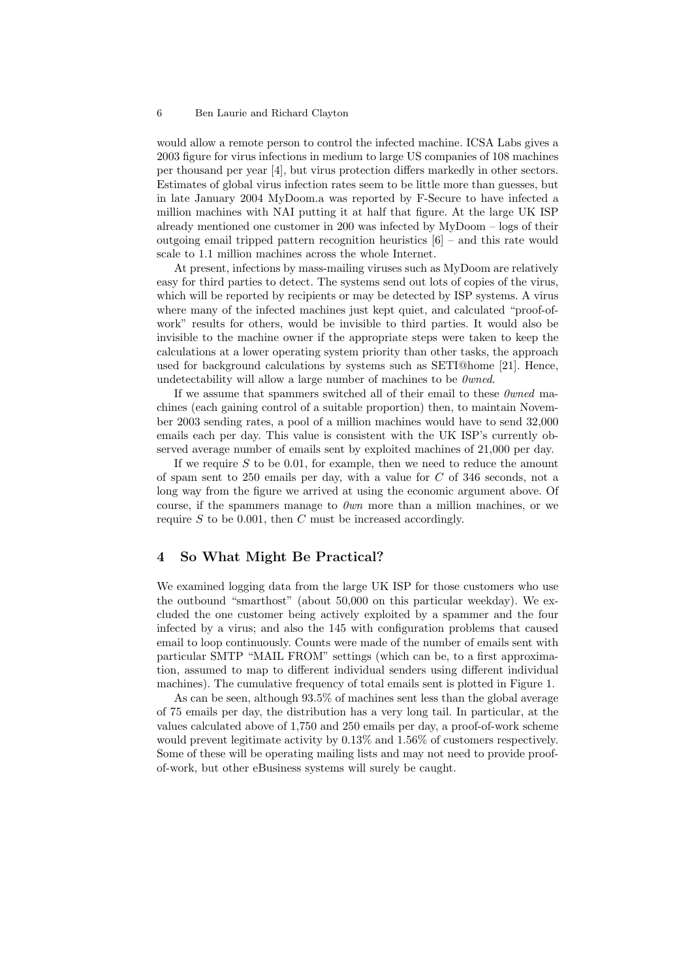would allow a remote person to control the infected machine. ICSA Labs gives a 2003 figure for virus infections in medium to large US companies of 108 machines per thousand per year [4], but virus protection differs markedly in other sectors. Estimates of global virus infection rates seem to be little more than guesses, but in late January 2004 MyDoom.a was reported by F-Secure to have infected a million machines with NAI putting it at half that figure. At the large UK ISP already mentioned one customer in 200 was infected by MyDoom – logs of their outgoing email tripped pattern recognition heuristics [6] – and this rate would scale to 1.1 million machines across the whole Internet.

At present, infections by mass-mailing viruses such as MyDoom are relatively easy for third parties to detect. The systems send out lots of copies of the virus, which will be reported by recipients or may be detected by ISP systems. A virus where many of the infected machines just kept quiet, and calculated "proof-ofwork" results for others, would be invisible to third parties. It would also be invisible to the machine owner if the appropriate steps were taken to keep the calculations at a lower operating system priority than other tasks, the approach used for background calculations by systems such as SETI@home [21]. Hence, undetectability will allow a large number of machines to be  $\theta$ *wned.* 

If we assume that spammers switched all of their email to these 0wned machines (each gaining control of a suitable proportion) then, to maintain November 2003 sending rates, a pool of a million machines would have to send 32,000 emails each per day. This value is consistent with the UK ISP's currently observed average number of emails sent by exploited machines of 21,000 per day.

If we require  $S$  to be 0.01, for example, then we need to reduce the amount of spam sent to 250 emails per day, with a value for C of 346 seconds, not a long way from the figure we arrived at using the economic argument above. Of course, if the spammers manage to  $\theta w n$  more than a million machines, or we require  $S$  to be 0.001, then  $C$  must be increased accordingly.

### 4 So What Might Be Practical?

We examined logging data from the large UK ISP for those customers who use the outbound "smarthost" (about 50,000 on this particular weekday). We excluded the one customer being actively exploited by a spammer and the four infected by a virus; and also the 145 with configuration problems that caused email to loop continuously. Counts were made of the number of emails sent with particular SMTP "MAIL FROM" settings (which can be, to a first approximation, assumed to map to different individual senders using different individual machines). The cumulative frequency of total emails sent is plotted in Figure 1.

As can be seen, although 93.5% of machines sent less than the global average of 75 emails per day, the distribution has a very long tail. In particular, at the values calculated above of 1,750 and 250 emails per day, a proof-of-work scheme would prevent legitimate activity by 0.13% and 1.56% of customers respectively. Some of these will be operating mailing lists and may not need to provide proofof-work, but other eBusiness systems will surely be caught.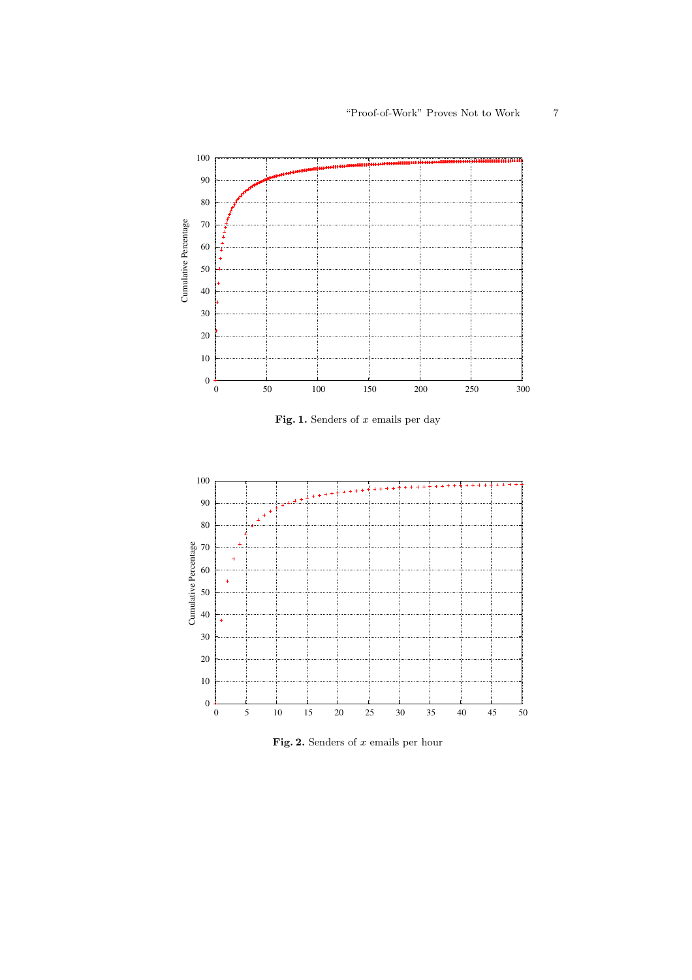

Fig. 1. Senders of  $x$  emails per day



Fig. 2. Senders of  $x$  emails per hour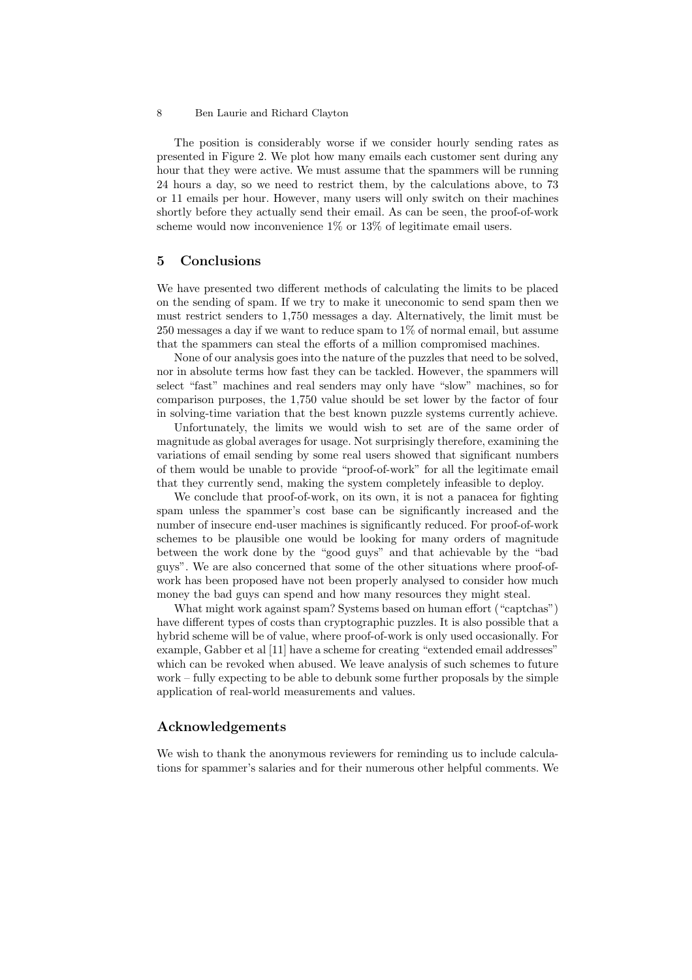The position is considerably worse if we consider hourly sending rates as presented in Figure 2. We plot how many emails each customer sent during any hour that they were active. We must assume that the spammers will be running 24 hours a day, so we need to restrict them, by the calculations above, to 73 or 11 emails per hour. However, many users will only switch on their machines shortly before they actually send their email. As can be seen, the proof-of-work scheme would now inconvenience 1% or 13% of legitimate email users.

### 5 Conclusions

We have presented two different methods of calculating the limits to be placed on the sending of spam. If we try to make it uneconomic to send spam then we must restrict senders to 1,750 messages a day. Alternatively, the limit must be 250 messages a day if we want to reduce spam to 1% of normal email, but assume that the spammers can steal the efforts of a million compromised machines.

None of our analysis goes into the nature of the puzzles that need to be solved, nor in absolute terms how fast they can be tackled. However, the spammers will select "fast" machines and real senders may only have "slow" machines, so for comparison purposes, the 1,750 value should be set lower by the factor of four in solving-time variation that the best known puzzle systems currently achieve.

Unfortunately, the limits we would wish to set are of the same order of magnitude as global averages for usage. Not surprisingly therefore, examining the variations of email sending by some real users showed that significant numbers of them would be unable to provide "proof-of-work" for all the legitimate email that they currently send, making the system completely infeasible to deploy.

We conclude that proof-of-work, on its own, it is not a panacea for fighting spam unless the spammer's cost base can be significantly increased and the number of insecure end-user machines is significantly reduced. For proof-of-work schemes to be plausible one would be looking for many orders of magnitude between the work done by the "good guys" and that achievable by the "bad guys". We are also concerned that some of the other situations where proof-ofwork has been proposed have not been properly analysed to consider how much money the bad guys can spend and how many resources they might steal.

What might work against spam? Systems based on human effort ("captchas") have different types of costs than cryptographic puzzles. It is also possible that a hybrid scheme will be of value, where proof-of-work is only used occasionally. For example, Gabber et al [11] have a scheme for creating "extended email addresses" which can be revoked when abused. We leave analysis of such schemes to future work – fully expecting to be able to debunk some further proposals by the simple application of real-world measurements and values.

# Acknowledgements

We wish to thank the anonymous reviewers for reminding us to include calculations for spammer's salaries and for their numerous other helpful comments. We